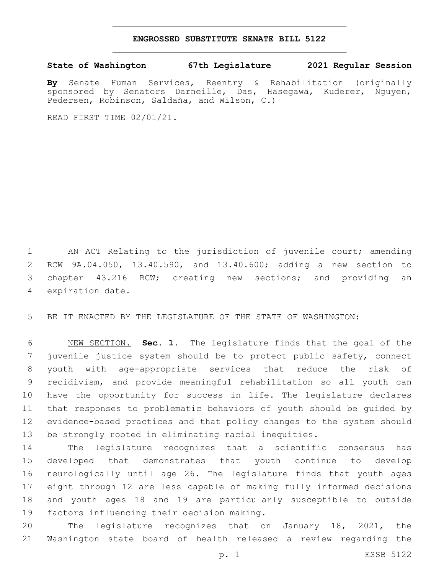## **ENGROSSED SUBSTITUTE SENATE BILL 5122**

## **State of Washington 67th Legislature 2021 Regular Session**

**By** Senate Human Services, Reentry & Rehabilitation (originally sponsored by Senators Darneille, Das, Hasegawa, Kuderer, Nguyen, Pedersen, Robinson, Saldaña, and Wilson, C.)

READ FIRST TIME 02/01/21.

 AN ACT Relating to the jurisdiction of juvenile court; amending RCW 9A.04.050, 13.40.590, and 13.40.600; adding a new section to chapter 43.216 RCW; creating new sections; and providing an 4 expiration date.

BE IT ENACTED BY THE LEGISLATURE OF THE STATE OF WASHINGTON:

 NEW SECTION. **Sec. 1.** The legislature finds that the goal of the juvenile justice system should be to protect public safety, connect youth with age-appropriate services that reduce the risk of recidivism, and provide meaningful rehabilitation so all youth can have the opportunity for success in life. The legislature declares that responses to problematic behaviors of youth should be guided by evidence-based practices and that policy changes to the system should be strongly rooted in eliminating racial inequities.

 The legislature recognizes that a scientific consensus has developed that demonstrates that youth continue to develop neurologically until age 26. The legislature finds that youth ages eight through 12 are less capable of making fully informed decisions and youth ages 18 and 19 are particularly susceptible to outside 19 factors influencing their decision making.

 The legislature recognizes that on January 18, 2021, the Washington state board of health released a review regarding the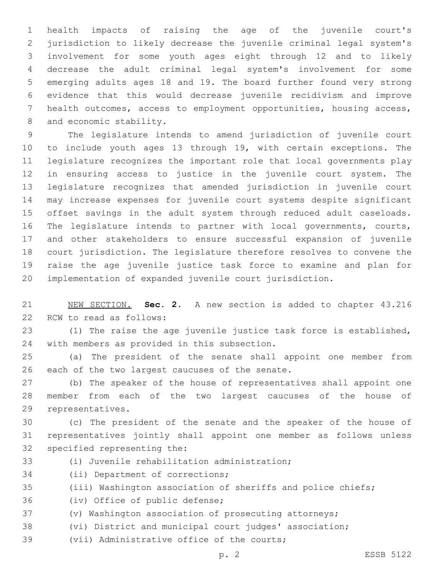health impacts of raising the age of the juvenile court's jurisdiction to likely decrease the juvenile criminal legal system's involvement for some youth ages eight through 12 and to likely decrease the adult criminal legal system's involvement for some emerging adults ages 18 and 19. The board further found very strong evidence that this would decrease juvenile recidivism and improve health outcomes, access to employment opportunities, housing access, 8 and economic stability.

 The legislature intends to amend jurisdiction of juvenile court to include youth ages 13 through 19, with certain exceptions. The legislature recognizes the important role that local governments play in ensuring access to justice in the juvenile court system. The legislature recognizes that amended jurisdiction in juvenile court may increase expenses for juvenile court systems despite significant offset savings in the adult system through reduced adult caseloads. The legislature intends to partner with local governments, courts, and other stakeholders to ensure successful expansion of juvenile court jurisdiction. The legislature therefore resolves to convene the raise the age juvenile justice task force to examine and plan for implementation of expanded juvenile court jurisdiction.

 NEW SECTION. **Sec. 2.** A new section is added to chapter 43.216 22 RCW to read as follows:

 (1) The raise the age juvenile justice task force is established, 24 with members as provided in this subsection.

 (a) The president of the senate shall appoint one member from 26 each of the two largest caucuses of the senate.

 (b) The speaker of the house of representatives shall appoint one member from each of the two largest caucuses of the house of 29 representatives.

 (c) The president of the senate and the speaker of the house of representatives jointly shall appoint one member as follows unless 32 specified representing the:

33 (i) Juvenile rehabilitation administration;

34 (ii) Department of corrections;

(iii) Washington association of sheriffs and police chiefs;

36 (iv) Office of public defense;

(v) Washington association of prosecuting attorneys;

(vi) District and municipal court judges' association;

39 (vii) Administrative office of the courts;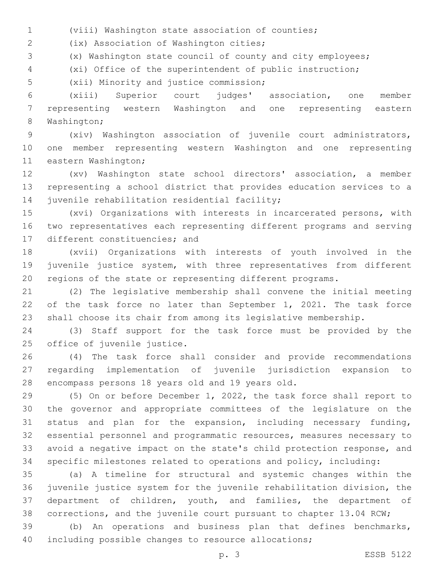(viii) Washington state association of counties;

(ix) Association of Washington cities;2

(x) Washington state council of county and city employees;

(xi) Office of the superintendent of public instruction;

5 (xii) Minority and justice commission;

 (xiii) Superior court judges' association, one member representing western Washington and one representing eastern 8 Washington;

 (xiv) Washington association of juvenile court administrators, one member representing western Washington and one representing 11 eastern Washington;

 (xv) Washington state school directors' association, a member representing a school district that provides education services to a 14 juvenile rehabilitation residential facility;

 (xvi) Organizations with interests in incarcerated persons, with two representatives each representing different programs and serving 17 different constituencies; and

 (xvii) Organizations with interests of youth involved in the juvenile justice system, with three representatives from different regions of the state or representing different programs.

 (2) The legislative membership shall convene the initial meeting of the task force no later than September 1, 2021. The task force shall choose its chair from among its legislative membership.

 (3) Staff support for the task force must be provided by the 25 office of juvenile justice.

 (4) The task force shall consider and provide recommendations regarding implementation of juvenile jurisdiction expansion to 28 encompass persons 18 years old and 19 years old.

 (5) On or before December 1, 2022, the task force shall report to the governor and appropriate committees of the legislature on the status and plan for the expansion, including necessary funding, essential personnel and programmatic resources, measures necessary to avoid a negative impact on the state's child protection response, and specific milestones related to operations and policy, including:

 (a) A timeline for structural and systemic changes within the juvenile justice system for the juvenile rehabilitation division, the department of children, youth, and families, the department of corrections, and the juvenile court pursuant to chapter 13.04 RCW;

 (b) An operations and business plan that defines benchmarks, including possible changes to resource allocations;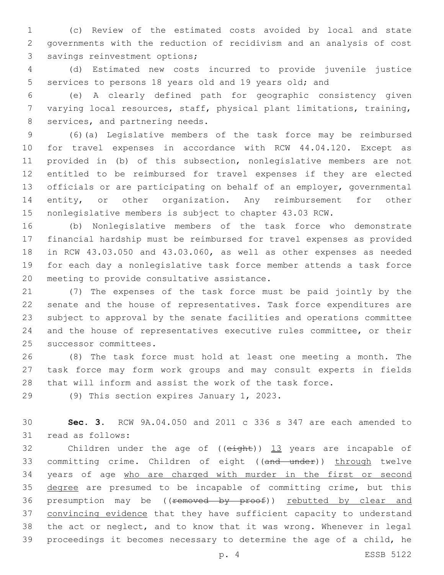(c) Review of the estimated costs avoided by local and state governments with the reduction of recidivism and an analysis of cost 3 savings reinvestment options;

 (d) Estimated new costs incurred to provide juvenile justice services to persons 18 years old and 19 years old; and

 (e) A clearly defined path for geographic consistency given varying local resources, staff, physical plant limitations, training, 8 services, and partnering needs.

 (6)(a) Legislative members of the task force may be reimbursed for travel expenses in accordance with RCW 44.04.120. Except as provided in (b) of this subsection, nonlegislative members are not entitled to be reimbursed for travel expenses if they are elected officials or are participating on behalf of an employer, governmental 14 entity, or other organization. Any reimbursement for other nonlegislative members is subject to chapter 43.03 RCW.

 (b) Nonlegislative members of the task force who demonstrate financial hardship must be reimbursed for travel expenses as provided in RCW 43.03.050 and 43.03.060, as well as other expenses as needed for each day a nonlegislative task force member attends a task force 20 meeting to provide consultative assistance.

 (7) The expenses of the task force must be paid jointly by the senate and the house of representatives. Task force expenditures are subject to approval by the senate facilities and operations committee and the house of representatives executive rules committee, or their 25 successor committees.

 (8) The task force must hold at least one meeting a month. The task force may form work groups and may consult experts in fields that will inform and assist the work of the task force.

29 (9) This section expires January 1, 2023.

 **Sec. 3.** RCW 9A.04.050 and 2011 c 336 s 347 are each amended to 31 read as follows:

32 Children under the age of ((eight)) 13 years are incapable of 33 committing crime. Children of eight ((and under)) through twelve 34 years of age who are charged with murder in the first or second 35 degree are presumed to be incapable of committing crime, but this 36 presumption may be ((removed by proof)) rebutted by clear and 37 convincing evidence that they have sufficient capacity to understand the act or neglect, and to know that it was wrong. Whenever in legal proceedings it becomes necessary to determine the age of a child, he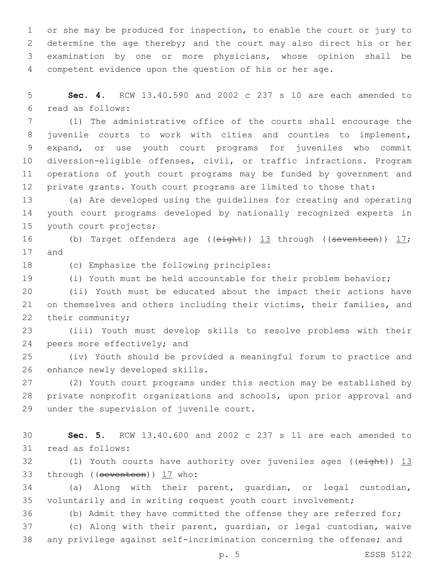or she may be produced for inspection, to enable the court or jury to determine the age thereby; and the court may also direct his or her examination by one or more physicians, whose opinion shall be competent evidence upon the question of his or her age.

 **Sec. 4.** RCW 13.40.590 and 2002 c 237 s 10 are each amended to read as follows:6

 (1) The administrative office of the courts shall encourage the juvenile courts to work with cities and counties to implement, expand, or use youth court programs for juveniles who commit diversion-eligible offenses, civil, or traffic infractions. Program operations of youth court programs may be funded by government and private grants. Youth court programs are limited to those that:

 (a) Are developed using the guidelines for creating and operating youth court programs developed by nationally recognized experts in 15 youth court projects;

16 (b) Target offenders age (( $e$ ight))  $13$  through (( $seventeen$ ))  $17$ ; 17 and

18 (c) Emphasize the following principles:

(i) Youth must be held accountable for their problem behavior;

 (ii) Youth must be educated about the impact their actions have on themselves and others including their victims, their families, and 22 their community;

 (iii) Youth must develop skills to resolve problems with their 24 peers more effectively; and

 (iv) Youth should be provided a meaningful forum to practice and 26 enhance newly developed skills.

 (2) Youth court programs under this section may be established by private nonprofit organizations and schools, upon prior approval and 29 under the supervision of juvenile court.

 **Sec. 5.** RCW 13.40.600 and 2002 c 237 s 11 are each amended to 31 read as follows:

32 (1) Youth courts have authority over juveniles ages ((eight)) 13 33 through ((seventeen)) 17 who:

 (a) Along with their parent, guardian, or legal custodian, voluntarily and in writing request youth court involvement;

(b) Admit they have committed the offense they are referred for;

 (c) Along with their parent, guardian, or legal custodian, waive any privilege against self-incrimination concerning the offense; and